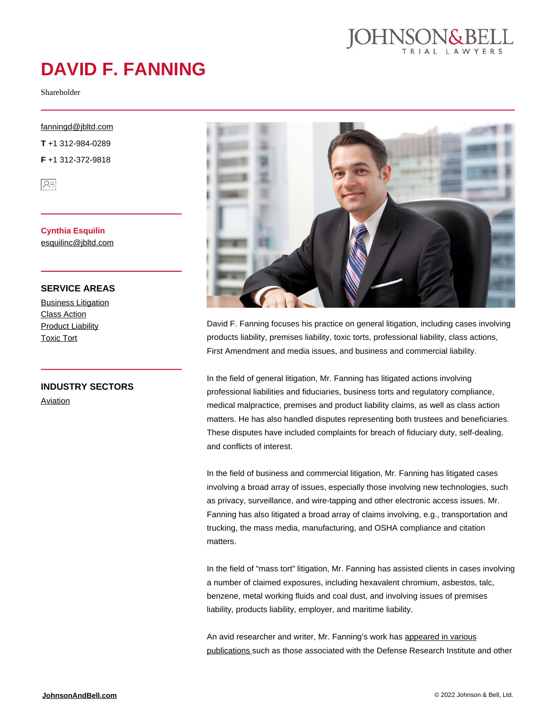

# **DAVID F. FANNING**

Shareholder

#### [fanningd@jbltd.com](mailto:fanningd@jbltd.com)

**T** +1 312-984-0289 **F** +1 312-372-9818

 $\sqrt{25}$ 

**Cynthia Esquilin** [esquilinc@jbltd.com](mailto:esquilinc@jbltd.com)

#### **SERVICE AREAS**

**[Business Litigation](https://johnsonandbell.com/capability/business-litigation/)** [Class Action](https://johnsonandbell.com/capability/class-action/) [Product Liability](https://johnsonandbell.com/capability/product-liability/) [Toxic Tort](https://johnsonandbell.com/capability/toxic-tort/)

**INDUSTRY SECTORS**

[Aviation](https://johnsonandbell.com/capability/aviation/)



David F. Fanning focuses his practice on general litigation, including cases involving products liability, premises liability, toxic torts, professional liability, class actions, First Amendment and media issues, and business and commercial liability.

In the field of general litigation, Mr. Fanning has litigated actions involving professional liabilities and fiduciaries, business torts and regulatory compliance, medical malpractice, premises and product liability claims, as well as class action matters. He has also handled disputes representing both trustees and beneficiaries. These disputes have included complaints for breach of fiduciary duty, self-dealing, and conflicts of interest.

In the field of business and commercial litigation, Mr. Fanning has litigated cases involving a broad array of issues, especially those involving new technologies, such as privacy, surveillance, and wire-tapping and other electronic access issues. Mr. Fanning has also litigated a broad array of claims involving, e.g., transportation and trucking, the mass media, manufacturing, and OSHA compliance and citation matters.

In the field of "mass tort" litigation, Mr. Fanning has assisted clients in cases involving a number of claimed exposures, including hexavalent chromium, asbestos, talc, benzene, metal working fluids and coal dust, and involving issues of premises liability, products liability, employer, and maritime liability.

An avid researcher and writer, Mr. Fanning's work has [appeared in various](http://community.dri.org/blogs/david-fanning/2014/07/02/illinois-appellate-court-allows-direct-action-against-employer-for-asbestos-related-injury) [publications s](http://community.dri.org/blogs/david-fanning/2014/07/02/illinois-appellate-court-allows-direct-action-against-employer-for-asbestos-related-injury)uch as those associated with the Defense Research Institute and other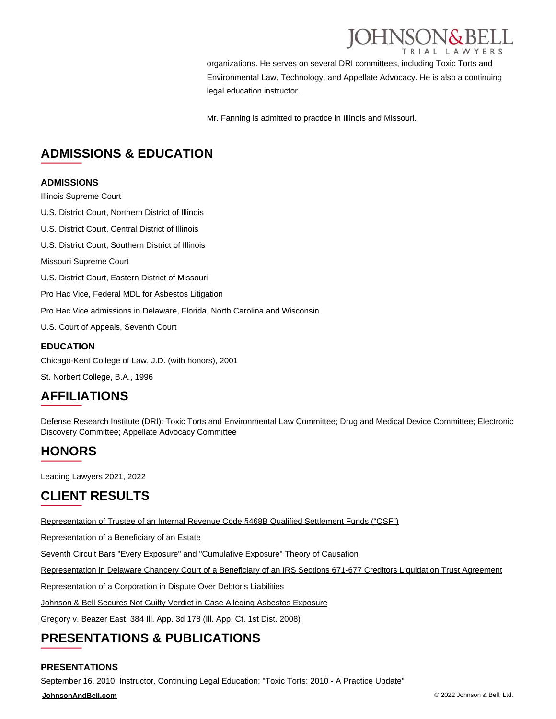

organizations. He serves on several DRI committees, including Toxic Torts and Environmental Law, Technology, and Appellate Advocacy. He is also a continuing legal education instructor.

Mr. Fanning is admitted to practice in Illinois and Missouri.

### **ADMISSIONS & EDUCATION**

#### **ADMISSIONS**

Illinois Supreme Court

U.S. District Court, Northern District of Illinois

U.S. District Court, Central District of Illinois

U.S. District Court, Southern District of Illinois

Missouri Supreme Court

U.S. District Court, Eastern District of Missouri

Pro Hac Vice, Federal MDL for Asbestos Litigation

Pro Hac Vice admissions in Delaware, Florida, North Carolina and Wisconsin

U.S. Court of Appeals, Seventh Court

#### **EDUCATION**

Chicago-Kent College of Law, J.D. (with honors), 2001

St. Norbert College, B.A., 1996

### **AFFILIATIONS**

Defense Research Institute (DRI): Toxic Torts and Environmental Law Committee; Drug and Medical Device Committee; Electronic Discovery Committee; Appellate Advocacy Committee

### **HONORS**

Leading Lawyers 2021, 2022

### **CLIENT RESULTS**

[Representation of Trustee of an Internal Revenue Code §468B Qualified Settlement Funds \("QSF"\)](https://johnsonandbell.com/representation-of-trustee-of-an-internal-revenue-code-%c2%a7468b-qualified-settlement-funds-qsf-in-a-lawsuit-involving-the-allocation-of-the-settlement-amounts-between-the-various/)

[Representation of a Beneficiary of an Estate](https://johnsonandbell.com/representation-of-a-beneficiary-of-an-estate-in-a-lawsuit-seeking-to-recover-damages-against-former-insiders-and-affiliates-asserting-claims-for-inter-alia-breach-of-fiduciary-duty-and-fraudulent/)

[Seventh Circuit Bars "Every Exposure" and "Cumulative Exposure" Theory of Causation](https://johnsonandbell.com/seventh-circuit-bars-every-exposure-cumulative-exposure-theory-causation/)

[Representation in Delaware Chancery Court of a Beneficiary of an IRS Sections 671-677 Creditors Liquidation Trust Agreement](https://johnsonandbell.com/representation-in-delaware-chancery-court-of-a-beneficiary-of-an-irs-sections-671-677-creditors-liquidation-trust-agreement-seeking-interpretation-of-the-trustees-obligations/)

[Representation of a Corporation in Dispute Over Debtor's Liabilities](https://johnsonandbell.com/representation-of-a-corporation-defending-against-the-theory-that-it-was-liable-for-the-debtors-liabilities-on-fraudulent-conveyance-mere-continuation-or-de-facto-merger-theories/)

[Johnson & Bell Secures Not Guilty Verdict in Case Alleging Asbestos Exposure](https://johnsonandbell.com/johnson-bell-secures-not-guilty-verdict-in-case-alleging-asbestos-exposure/)

[Gregory v. Beazer East, 384 Ill. App. 3d 178 \(Ill. App. Ct. 1st Dist. 2008\)](https://johnsonandbell.com/gregory-v-beazer-east-384-ill-app-3d-178-ill-app-ct-1st-dist-2008/)

## **PRESENTATIONS & PUBLICATIONS**

### **PRESENTATIONS**

September 16, 2010: Instructor, Continuing Legal Education: "Toxic Torts: 2010 - A Practice Update"